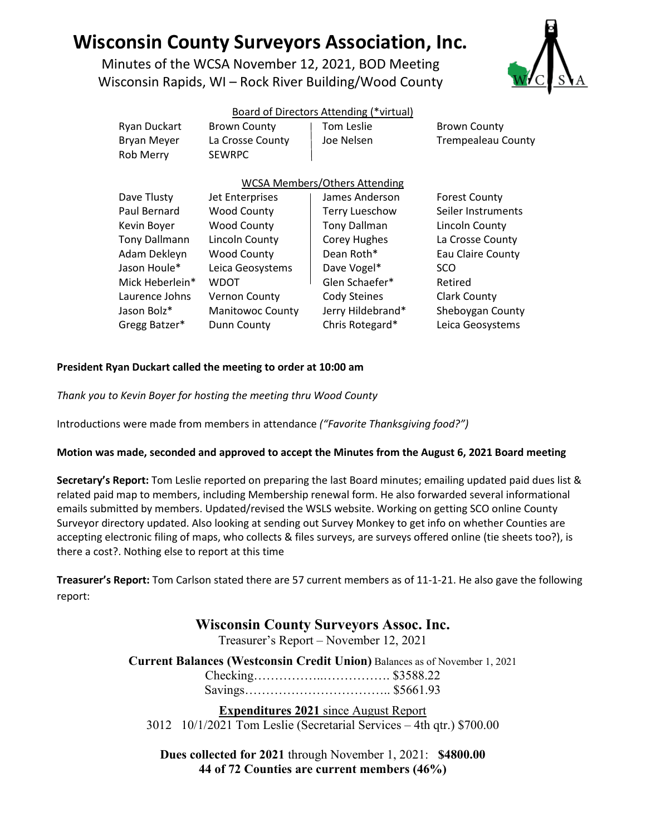# **Wisconsin County Surveyors Association, Inc.**

Minutes of the WCSA November 12, 2021, BOD Meeting Wisconsin Rapids, WI – Rock River Building/Wood County



## Board of Directors Attending (\*virtual)

| <b>Ryan Duckart</b><br><b>Bryan Meyer</b><br><b>Rob Merry</b> | <b>Brown County</b><br>La Crosse County<br><b>SEWRPC</b> | Tom Leslie<br>Joe Nelsen | <b>Brown County</b><br><b>Trempealeau County</b> |
|---------------------------------------------------------------|----------------------------------------------------------|--------------------------|--------------------------------------------------|
|                                                               |                                                          |                          |                                                  |
| <b>WCSA Members/Others Attending</b>                          |                                                          |                          |                                                  |
| Dave Tlusty                                                   | Jet Enterprises                                          | James Anderson           | <b>Forest County</b>                             |
| Paul Bernard                                                  | <b>Wood County</b>                                       | <b>Terry Lueschow</b>    | Seiler Instruments                               |
| Kevin Boyer                                                   | <b>Wood County</b>                                       | <b>Tony Dallman</b>      | Lincoln County                                   |
| <b>Tony Dallmann</b>                                          | Lincoln County                                           | Corey Hughes             | La Crosse County                                 |
| Adam Dekleyn                                                  | <b>Wood County</b>                                       | Dean Roth*               | <b>Eau Claire County</b>                         |
| Jason Houle*                                                  | Leica Geosystems                                         | Dave Vogel*              | SCO                                              |
| Mick Heberlein*                                               | <b>WDOT</b>                                              | Glen Schaefer*           | Retired                                          |
| Laurence Johns                                                | <b>Vernon County</b>                                     | <b>Cody Steines</b>      | <b>Clark County</b>                              |
| Jason Bolz*                                                   | <b>Manitowoc County</b>                                  | Jerry Hildebrand*        | Sheboygan County                                 |

Gregg Batzer\* Dunn County Chris Rotegard\* Leica Geosystems

## **President Ryan Duckart called the meeting to order at 10:00 am**

*Thank you to Kevin Boyer for hosting the meeting thru Wood County*

Introductions were made from members in attendance *("Favorite Thanksgiving food?")*

#### **Motion was made, seconded and approved to accept the Minutes from the August 6, 2021 Board meeting**

**Secretary's Report:** Tom Leslie reported on preparing the last Board minutes; emailing updated paid dues list & related paid map to members, including Membership renewal form. He also forwarded several informational emails submitted by members. Updated/revised the WSLS website. Working on getting SCO online County Surveyor directory updated. Also looking at sending out Survey Monkey to get info on whether Counties are accepting electronic filing of maps, who collects & files surveys, are surveys offered online (tie sheets too?), is there a cost?. Nothing else to report at this time

**Treasurer's Report:** Tom Carlson stated there are 57 current members as of 11-1-21. He also gave the following report:

# **Wisconsin County Surveyors Assoc. Inc.**

Treasurer's Report – November 12, 2021

**Current Balances (Westconsin Credit Union)** Balances as of November 1, 2021

Checking……………..……………. \$3588.22 Savings…………………………….. \$5661.93

**Expenditures 2021** since August Report 3012 10/1/2021 Tom Leslie (Secretarial Services – 4th qtr.) \$700.00

**Dues collected for 2021** through November 1, 2021: **\$4800.00 44 of 72 Counties are current members (46%)**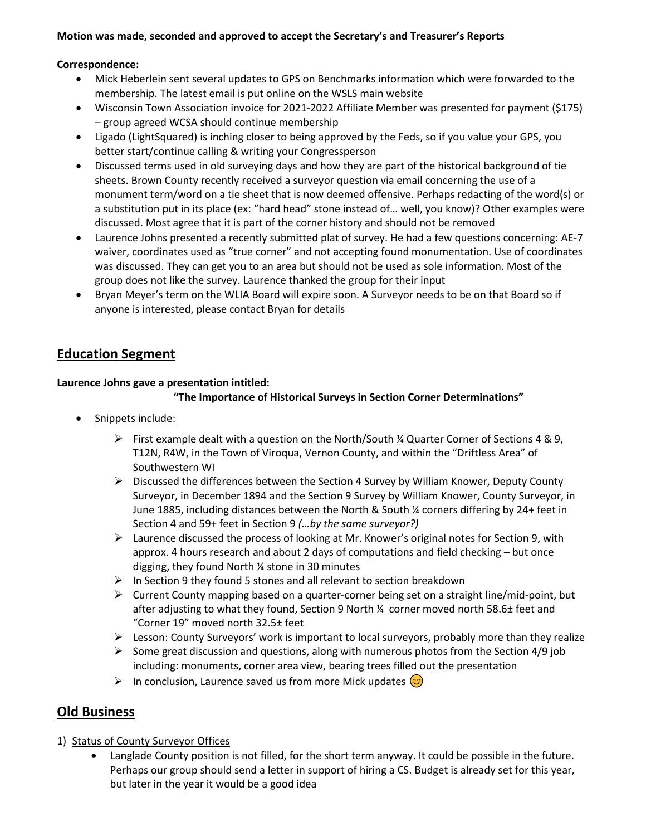## **Motion was made, seconded and approved to accept the Secretary's and Treasurer's Reports**

## **Correspondence:**

- Mick Heberlein sent several updates to GPS on Benchmarks information which were forwarded to the membership. The latest email is put online on the WSLS main website
- Wisconsin Town Association invoice for 2021-2022 Affiliate Member was presented for payment (\$175) – group agreed WCSA should continue membership
- Ligado (LightSquared) is inching closer to being approved by the Feds, so if you value your GPS, you better start/continue calling & writing your Congressperson
- Discussed terms used in old surveying days and how they are part of the historical background of tie sheets. Brown County recently received a surveyor question via email concerning the use of a monument term/word on a tie sheet that is now deemed offensive. Perhaps redacting of the word(s) or a substitution put in its place (ex: "hard head" stone instead of… well, you know)? Other examples were discussed. Most agree that it is part of the corner history and should not be removed
- Laurence Johns presented a recently submitted plat of survey. He had a few questions concerning: AE-7 waiver, coordinates used as "true corner" and not accepting found monumentation. Use of coordinates was discussed. They can get you to an area but should not be used as sole information. Most of the group does not like the survey. Laurence thanked the group for their input
- Bryan Meyer's term on the WLIA Board will expire soon. A Surveyor needs to be on that Board so if anyone is interested, please contact Bryan for details

# **Education Segment**

# **Laurence Johns gave a presentation intitled:**

## **"The Importance of Historical Surveys in Section Corner Determinations"**

- Snippets include:
	- First example dealt with a question on the North/South  $\frac{1}{4}$  Quarter Corner of Sections 4 & 9, T12N, R4W, in the Town of Viroqua, Vernon County, and within the "Driftless Area" of Southwestern WI
	- $\triangleright$  Discussed the differences between the Section 4 Survey by William Knower, Deputy County Surveyor, in December 1894 and the Section 9 Survey by William Knower, County Surveyor, in June 1885, including distances between the North & South ¼ corners differing by 24+ feet in Section 4 and 59+ feet in Section 9 *(…by the same surveyor?)*
	- $\triangleright$  Laurence discussed the process of looking at Mr. Knower's original notes for Section 9, with approx. 4 hours research and about 2 days of computations and field checking – but once digging, they found North ¼ stone in 30 minutes
	- $\triangleright$  In Section 9 they found 5 stones and all relevant to section breakdown
	- $\triangleright$  Current County mapping based on a quarter-corner being set on a straight line/mid-point, but after adjusting to what they found, Section 9 North ¼ corner moved north 58.6± feet and "Corner 19" moved north 32.5± feet
	- $\triangleright$  Lesson: County Surveyors' work is important to local surveyors, probably more than they realize
	- $\triangleright$  Some great discussion and questions, along with numerous photos from the Section 4/9 job including: monuments, corner area view, bearing trees filled out the presentation
	- In conclusion, Laurence saved us from more Mick updates  $\odot$

# **Old Business**

- 1) Status of County Surveyor Offices
	- Langlade County position is not filled, for the short term anyway. It could be possible in the future. Perhaps our group should send a letter in support of hiring a CS. Budget is already set for this year, but later in the year it would be a good idea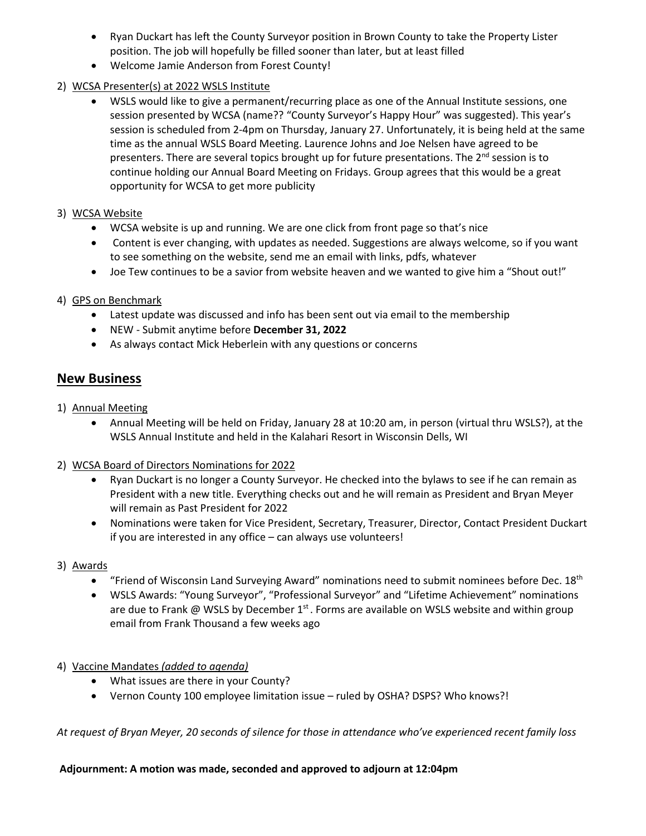- Ryan Duckart has left the County Surveyor position in Brown County to take the Property Lister position. The job will hopefully be filled sooner than later, but at least filled
- Welcome Jamie Anderson from Forest County!
- 2) WCSA Presenter(s) at 2022 WSLS Institute
	- WSLS would like to give a permanent/recurring place as one of the Annual Institute sessions, one session presented by WCSA (name?? "County Surveyor's Happy Hour" was suggested). This year's session is scheduled from 2-4pm on Thursday, January 27. Unfortunately, it is being held at the same time as the annual WSLS Board Meeting. Laurence Johns and Joe Nelsen have agreed to be presenters. There are several topics brought up for future presentations. The  $2<sup>nd</sup>$  session is to continue holding our Annual Board Meeting on Fridays. Group agrees that this would be a great opportunity for WCSA to get more publicity
- 3) WCSA Website
	- WCSA website is up and running. We are one click from front page so that's nice
	- Content is ever changing, with updates as needed. Suggestions are always welcome, so if you want to see something on the website, send me an email with links, pdfs, whatever
	- Joe Tew continues to be a savior from website heaven and we wanted to give him a "Shout out!"

# 4) GPS on Benchmark

- Latest update was discussed and info has been sent out via email to the membership
- NEW Submit anytime before **December 31, 2022**
- As always contact Mick Heberlein with any questions or concerns

# **New Business**

- 1) Annual Meeting
	- Annual Meeting will be held on Friday, January 28 at 10:20 am, in person (virtual thru WSLS?), at the WSLS Annual Institute and held in the Kalahari Resort in Wisconsin Dells, WI

# 2) WCSA Board of Directors Nominations for 2022

- Ryan Duckart is no longer a County Surveyor. He checked into the bylaws to see if he can remain as President with a new title. Everything checks out and he will remain as President and Bryan Meyer will remain as Past President for 2022
- Nominations were taken for Vice President, Secretary, Treasurer, Director, Contact President Duckart if you are interested in any office – can always use volunteers!
- 3) Awards
	- "Friend of Wisconsin Land Surveying Award" nominations need to submit nominees before Dec.  $18<sup>th</sup>$
	- WSLS Awards: "Young Surveyor", "Professional Surveyor" and "Lifetime Achievement" nominations are due to Frank @ WSLS by December  $1<sup>st</sup>$ . Forms are available on WSLS website and within group email from Frank Thousand a few weeks ago
- 4) Vaccine Mandates *(added to agenda)*
	- What issues are there in your County?
	- Vernon County 100 employee limitation issue ruled by OSHA? DSPS? Who knows?!

*At request of Bryan Meyer, 20 seconds of silence for those in attendance who've experienced recent family loss* 

#### **Adjournment: A motion was made, seconded and approved to adjourn at 12:04pm**